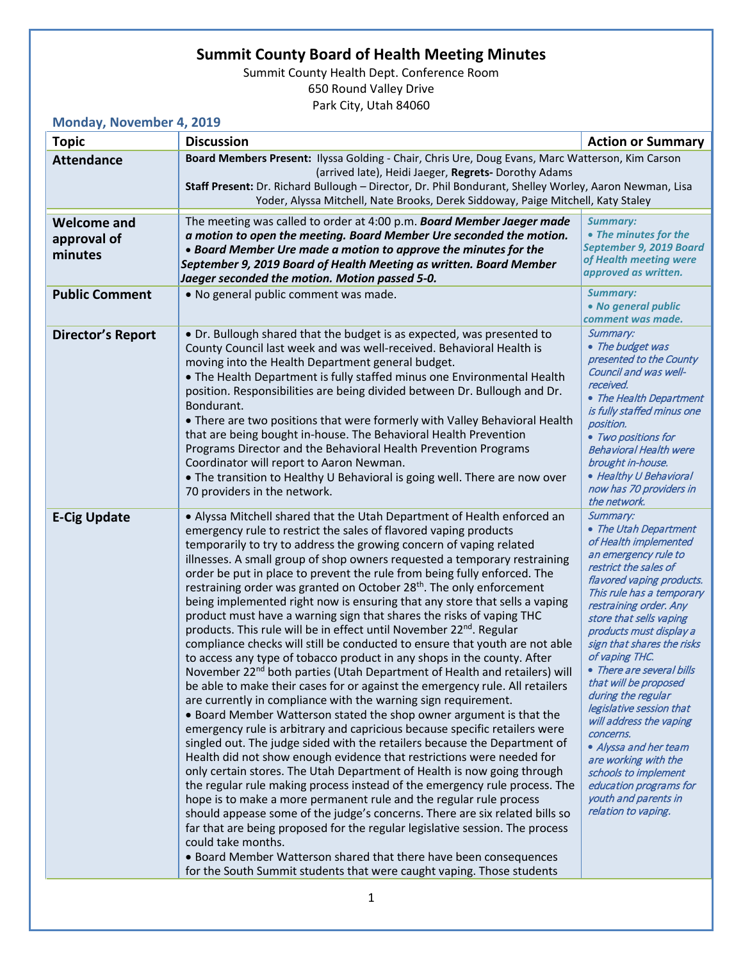## **Summit County Board of Health Meeting Minutes**

Summit County Health Dept. Conference Room 650 Round Valley Drive Park City, Utah 84060

**Monday, November 4, 2019**

| $1101100y$ , $1001011001 +$<br><b>Topic</b>  | <b>Discussion</b>                                                                                                                                                                                                                                                                                                                                                                                                                                                                                                                                                                                                                                                                                                                                                                                                                                                                                                                                                                                                                                                                                                                                                                                                                                                                                                                                                                                                                                                                                                                                                                                                                                                                                                                                                                                                                                                                                                                                                                          | <b>Action or Summary</b>                                                                                                                                                                                                                                                                                                                                                                                                                                                                                                                                                                                |
|----------------------------------------------|--------------------------------------------------------------------------------------------------------------------------------------------------------------------------------------------------------------------------------------------------------------------------------------------------------------------------------------------------------------------------------------------------------------------------------------------------------------------------------------------------------------------------------------------------------------------------------------------------------------------------------------------------------------------------------------------------------------------------------------------------------------------------------------------------------------------------------------------------------------------------------------------------------------------------------------------------------------------------------------------------------------------------------------------------------------------------------------------------------------------------------------------------------------------------------------------------------------------------------------------------------------------------------------------------------------------------------------------------------------------------------------------------------------------------------------------------------------------------------------------------------------------------------------------------------------------------------------------------------------------------------------------------------------------------------------------------------------------------------------------------------------------------------------------------------------------------------------------------------------------------------------------------------------------------------------------------------------------------------------------|---------------------------------------------------------------------------------------------------------------------------------------------------------------------------------------------------------------------------------------------------------------------------------------------------------------------------------------------------------------------------------------------------------------------------------------------------------------------------------------------------------------------------------------------------------------------------------------------------------|
| <b>Attendance</b>                            | Board Members Present: Ilyssa Golding - Chair, Chris Ure, Doug Evans, Marc Watterson, Kim Carson<br>(arrived late), Heidi Jaeger, Regrets- Dorothy Adams<br>Staff Present: Dr. Richard Bullough - Director, Dr. Phil Bondurant, Shelley Worley, Aaron Newman, Lisa                                                                                                                                                                                                                                                                                                                                                                                                                                                                                                                                                                                                                                                                                                                                                                                                                                                                                                                                                                                                                                                                                                                                                                                                                                                                                                                                                                                                                                                                                                                                                                                                                                                                                                                         |                                                                                                                                                                                                                                                                                                                                                                                                                                                                                                                                                                                                         |
|                                              | Yoder, Alyssa Mitchell, Nate Brooks, Derek Siddoway, Paige Mitchell, Katy Staley                                                                                                                                                                                                                                                                                                                                                                                                                                                                                                                                                                                                                                                                                                                                                                                                                                                                                                                                                                                                                                                                                                                                                                                                                                                                                                                                                                                                                                                                                                                                                                                                                                                                                                                                                                                                                                                                                                           |                                                                                                                                                                                                                                                                                                                                                                                                                                                                                                                                                                                                         |
| <b>Welcome and</b><br>approval of<br>minutes | The meeting was called to order at 4:00 p.m. Board Member Jaeger made<br>a motion to open the meeting. Board Member Ure seconded the motion.<br>• Board Member Ure made a motion to approve the minutes for the<br>September 9, 2019 Board of Health Meeting as written. Board Member<br>Jaeger seconded the motion. Motion passed 5-0.                                                                                                                                                                                                                                                                                                                                                                                                                                                                                                                                                                                                                                                                                                                                                                                                                                                                                                                                                                                                                                                                                                                                                                                                                                                                                                                                                                                                                                                                                                                                                                                                                                                    | <b>Summary:</b><br>• The minutes for the<br>September 9, 2019 Board<br>of Health meeting were<br>approved as written.                                                                                                                                                                                                                                                                                                                                                                                                                                                                                   |
| <b>Public Comment</b>                        | . No general public comment was made.                                                                                                                                                                                                                                                                                                                                                                                                                                                                                                                                                                                                                                                                                                                                                                                                                                                                                                                                                                                                                                                                                                                                                                                                                                                                                                                                                                                                                                                                                                                                                                                                                                                                                                                                                                                                                                                                                                                                                      | <b>Summary:</b><br>• No general public<br>comment was made.                                                                                                                                                                                                                                                                                                                                                                                                                                                                                                                                             |
| <b>Director's Report</b>                     | • Dr. Bullough shared that the budget is as expected, was presented to<br>County Council last week and was well-received. Behavioral Health is<br>moving into the Health Department general budget.<br>. The Health Department is fully staffed minus one Environmental Health<br>position. Responsibilities are being divided between Dr. Bullough and Dr.<br>Bondurant.<br>• There are two positions that were formerly with Valley Behavioral Health<br>that are being bought in-house. The Behavioral Health Prevention<br>Programs Director and the Behavioral Health Prevention Programs<br>Coordinator will report to Aaron Newman.<br>• The transition to Healthy U Behavioral is going well. There are now over<br>70 providers in the network.                                                                                                                                                                                                                                                                                                                                                                                                                                                                                                                                                                                                                                                                                                                                                                                                                                                                                                                                                                                                                                                                                                                                                                                                                                   | Summary:<br>• The budget was<br>presented to the County<br>Council and was well-<br>received.<br>• The Health Department<br>is fully staffed minus one<br>position.<br>• Two positions for<br><b>Behavioral Health were</b><br>brought in-house.<br>• Healthy U Behavioral<br>now has 70 providers in<br>the network.                                                                                                                                                                                                                                                                                   |
| <b>E-Cig Update</b>                          | • Alyssa Mitchell shared that the Utah Department of Health enforced an<br>emergency rule to restrict the sales of flavored vaping products<br>temporarily to try to address the growing concern of vaping related<br>illnesses. A small group of shop owners requested a temporary restraining<br>order be put in place to prevent the rule from being fully enforced. The<br>restraining order was granted on October 28 <sup>th</sup> . The only enforcement<br>being implemented right now is ensuring that any store that sells a vaping<br>product must have a warning sign that shares the risks of vaping THC<br>products. This rule will be in effect until November 22 <sup>nd</sup> . Regular<br>compliance checks will still be conducted to ensure that youth are not able<br>to access any type of tobacco product in any shops in the county. After<br>November 22 <sup>nd</sup> both parties (Utah Department of Health and retailers) will<br>be able to make their cases for or against the emergency rule. All retailers<br>are currently in compliance with the warning sign requirement.<br>• Board Member Watterson stated the shop owner argument is that the<br>emergency rule is arbitrary and capricious because specific retailers were<br>singled out. The judge sided with the retailers because the Department of<br>Health did not show enough evidence that restrictions were needed for<br>only certain stores. The Utah Department of Health is now going through<br>the regular rule making process instead of the emergency rule process. The<br>hope is to make a more permanent rule and the regular rule process<br>should appease some of the judge's concerns. There are six related bills so<br>far that are being proposed for the regular legislative session. The process<br>could take months.<br>• Board Member Watterson shared that there have been consequences<br>for the South Summit students that were caught vaping. Those students | Summary:<br>• The Utah Department<br>of Health implemented<br>an emergency rule to<br>restrict the sales of<br>flavored vaping products.<br>This rule has a temporary<br>restraining order. Any<br>store that sells vaping<br>products must display a<br>sign that shares the risks<br>of vaping THC.<br>• There are several bills<br>that will be proposed<br>during the regular<br>legislative session that<br>will address the vaping<br>concerns.<br>• Alyssa and her team<br>are working with the<br>schools to implement<br>education programs for<br>youth and parents in<br>relation to vaping. |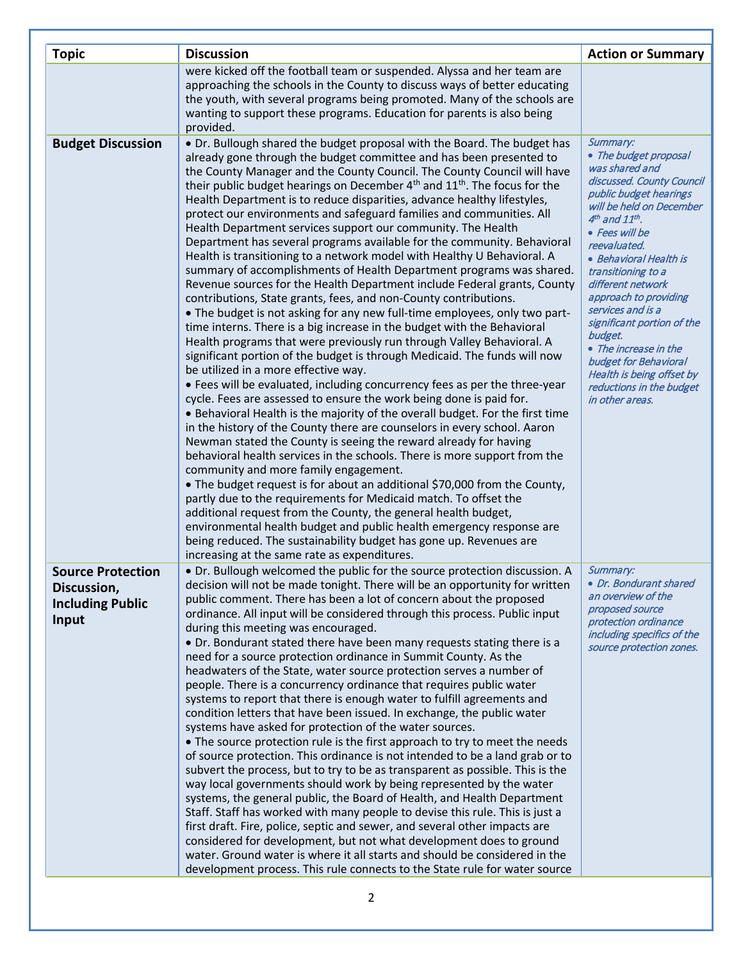| <b>Topic</b>                                                                | <b>Discussion</b>                                                                                                                                                                                                                                                                                                                                                                                                                                                                                                                                                                                                                                                                                                                                                                                                                                                                                                                                                                                                                                                                                                                                                                                                                                                                                                                                                                                                                                                                                                                                                                                                                                                                                                                                                                                                                                                                                                                                                                                                                                                                                                                                                                                                    | <b>Action or Summary</b>                                                                                                                                                                                                                                                                                                                                                                                                                                                                 |
|-----------------------------------------------------------------------------|----------------------------------------------------------------------------------------------------------------------------------------------------------------------------------------------------------------------------------------------------------------------------------------------------------------------------------------------------------------------------------------------------------------------------------------------------------------------------------------------------------------------------------------------------------------------------------------------------------------------------------------------------------------------------------------------------------------------------------------------------------------------------------------------------------------------------------------------------------------------------------------------------------------------------------------------------------------------------------------------------------------------------------------------------------------------------------------------------------------------------------------------------------------------------------------------------------------------------------------------------------------------------------------------------------------------------------------------------------------------------------------------------------------------------------------------------------------------------------------------------------------------------------------------------------------------------------------------------------------------------------------------------------------------------------------------------------------------------------------------------------------------------------------------------------------------------------------------------------------------------------------------------------------------------------------------------------------------------------------------------------------------------------------------------------------------------------------------------------------------------------------------------------------------------------------------------------------------|------------------------------------------------------------------------------------------------------------------------------------------------------------------------------------------------------------------------------------------------------------------------------------------------------------------------------------------------------------------------------------------------------------------------------------------------------------------------------------------|
|                                                                             | were kicked off the football team or suspended. Alyssa and her team are<br>approaching the schools in the County to discuss ways of better educating<br>the youth, with several programs being promoted. Many of the schools are<br>wanting to support these programs. Education for parents is also being<br>provided.                                                                                                                                                                                                                                                                                                                                                                                                                                                                                                                                                                                                                                                                                                                                                                                                                                                                                                                                                                                                                                                                                                                                                                                                                                                                                                                                                                                                                                                                                                                                                                                                                                                                                                                                                                                                                                                                                              |                                                                                                                                                                                                                                                                                                                                                                                                                                                                                          |
| <b>Budget Discussion</b>                                                    | • Dr. Bullough shared the budget proposal with the Board. The budget has<br>already gone through the budget committee and has been presented to<br>the County Manager and the County Council. The County Council will have<br>their public budget hearings on December 4 <sup>th</sup> and 11 <sup>th</sup> . The focus for the<br>Health Department is to reduce disparities, advance healthy lifestyles,<br>protect our environments and safeguard families and communities. All<br>Health Department services support our community. The Health<br>Department has several programs available for the community. Behavioral<br>Health is transitioning to a network model with Healthy U Behavioral. A<br>summary of accomplishments of Health Department programs was shared.<br>Revenue sources for the Health Department include Federal grants, County<br>contributions, State grants, fees, and non-County contributions.<br>• The budget is not asking for any new full-time employees, only two part-<br>time interns. There is a big increase in the budget with the Behavioral<br>Health programs that were previously run through Valley Behavioral. A<br>significant portion of the budget is through Medicaid. The funds will now<br>be utilized in a more effective way.<br>• Fees will be evaluated, including concurrency fees as per the three-year<br>cycle. Fees are assessed to ensure the work being done is paid for.<br>• Behavioral Health is the majority of the overall budget. For the first time<br>in the history of the County there are counselors in every school. Aaron<br>Newman stated the County is seeing the reward already for having<br>behavioral health services in the schools. There is more support from the<br>community and more family engagement.<br>• The budget request is for about an additional \$70,000 from the County,<br>partly due to the requirements for Medicaid match. To offset the<br>additional request from the County, the general health budget,<br>environmental health budget and public health emergency response are<br>being reduced. The sustainability budget has gone up. Revenues are<br>increasing at the same rate as expenditures. | Summary:<br>• The budget proposal<br>was shared and<br>discussed. County Council<br>public budget hearings<br>will be held on December<br>$4th$ and $11th$ .<br>• Fees will be<br>reevaluated.<br>• Behavioral Health is<br>transitioning to a<br>different network<br>approach to providing<br>services and is a<br>significant portion of the<br>budget.<br>• The increase in the<br>budget for Behavioral<br>Health is being offset by<br>reductions in the budget<br>in other areas. |
| <b>Source Protection</b><br>Discussion,<br><b>Including Public</b><br>Input | . Dr. Bullough welcomed the public for the source protection discussion. A<br>decision will not be made tonight. There will be an opportunity for written<br>public comment. There has been a lot of concern about the proposed<br>ordinance. All input will be considered through this process. Public input<br>during this meeting was encouraged.<br>• Dr. Bondurant stated there have been many requests stating there is a<br>need for a source protection ordinance in Summit County. As the<br>headwaters of the State, water source protection serves a number of<br>people. There is a concurrency ordinance that requires public water<br>systems to report that there is enough water to fulfill agreements and<br>condition letters that have been issued. In exchange, the public water<br>systems have asked for protection of the water sources.<br>• The source protection rule is the first approach to try to meet the needs<br>of source protection. This ordinance is not intended to be a land grab or to<br>subvert the process, but to try to be as transparent as possible. This is the<br>way local governments should work by being represented by the water<br>systems, the general public, the Board of Health, and Health Department<br>Staff. Staff has worked with many people to devise this rule. This is just a<br>first draft. Fire, police, septic and sewer, and several other impacts are<br>considered for development, but not what development does to ground<br>water. Ground water is where it all starts and should be considered in the<br>development process. This rule connects to the State rule for water source                                                                                                                                                                                                                                                                                                                                                                                                                                                                                                                                                   | Summary:<br>• Dr. Bondurant shared<br>an overview of the<br>proposed source<br>protection ordinance<br>including specifics of the<br>source protection zones.                                                                                                                                                                                                                                                                                                                            |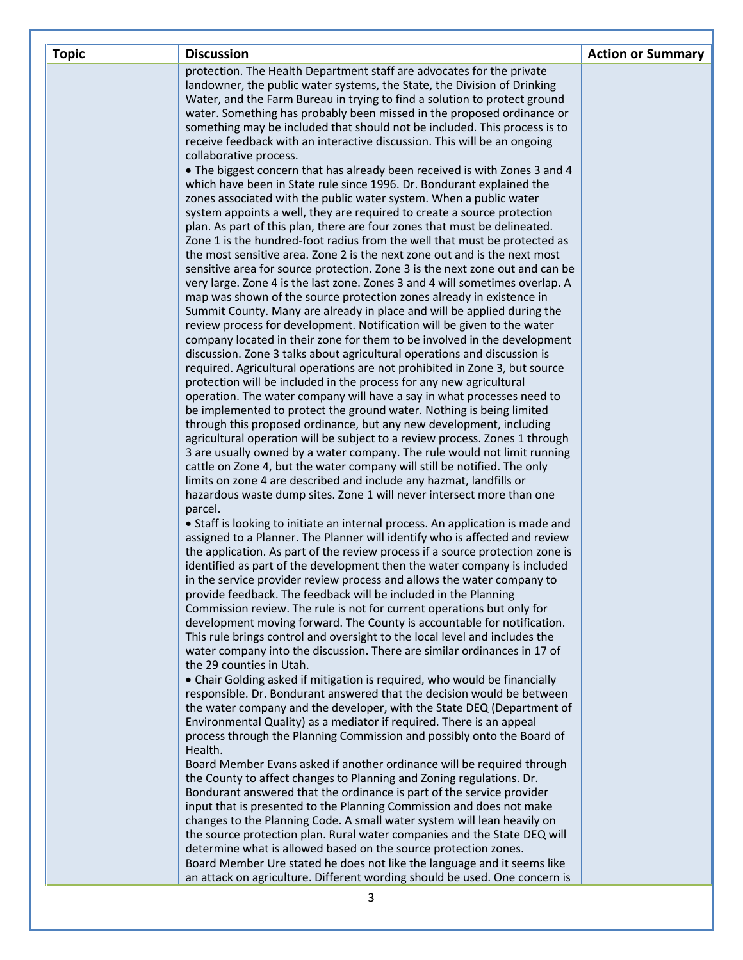| <b>Topic</b> | <b>Discussion</b>                                                                                                                                     | <b>Action or Summary</b> |
|--------------|-------------------------------------------------------------------------------------------------------------------------------------------------------|--------------------------|
|              | protection. The Health Department staff are advocates for the private                                                                                 |                          |
|              | landowner, the public water systems, the State, the Division of Drinking                                                                              |                          |
|              | Water, and the Farm Bureau in trying to find a solution to protect ground                                                                             |                          |
|              | water. Something has probably been missed in the proposed ordinance or                                                                                |                          |
|              | something may be included that should not be included. This process is to<br>receive feedback with an interactive discussion. This will be an ongoing |                          |
|              | collaborative process.                                                                                                                                |                          |
|              | . The biggest concern that has already been received is with Zones 3 and 4                                                                            |                          |
|              | which have been in State rule since 1996. Dr. Bondurant explained the                                                                                 |                          |
|              | zones associated with the public water system. When a public water                                                                                    |                          |
|              | system appoints a well, they are required to create a source protection                                                                               |                          |
|              | plan. As part of this plan, there are four zones that must be delineated.                                                                             |                          |
|              | Zone 1 is the hundred-foot radius from the well that must be protected as                                                                             |                          |
|              | the most sensitive area. Zone 2 is the next zone out and is the next most                                                                             |                          |
|              | sensitive area for source protection. Zone 3 is the next zone out and can be                                                                          |                          |
|              | very large. Zone 4 is the last zone. Zones 3 and 4 will sometimes overlap. A                                                                          |                          |
|              | map was shown of the source protection zones already in existence in                                                                                  |                          |
|              | Summit County. Many are already in place and will be applied during the                                                                               |                          |
|              | review process for development. Notification will be given to the water<br>company located in their zone for them to be involved in the development   |                          |
|              | discussion. Zone 3 talks about agricultural operations and discussion is                                                                              |                          |
|              | required. Agricultural operations are not prohibited in Zone 3, but source                                                                            |                          |
|              | protection will be included in the process for any new agricultural                                                                                   |                          |
|              | operation. The water company will have a say in what processes need to                                                                                |                          |
|              | be implemented to protect the ground water. Nothing is being limited                                                                                  |                          |
|              | through this proposed ordinance, but any new development, including                                                                                   |                          |
|              | agricultural operation will be subject to a review process. Zones 1 through                                                                           |                          |
|              | 3 are usually owned by a water company. The rule would not limit running                                                                              |                          |
|              | cattle on Zone 4, but the water company will still be notified. The only                                                                              |                          |
|              | limits on zone 4 are described and include any hazmat, landfills or                                                                                   |                          |
|              | hazardous waste dump sites. Zone 1 will never intersect more than one                                                                                 |                          |
|              | parcel.<br>• Staff is looking to initiate an internal process. An application is made and                                                             |                          |
|              | assigned to a Planner. The Planner will identify who is affected and review                                                                           |                          |
|              | the application. As part of the review process if a source protection zone is                                                                         |                          |
|              | identified as part of the development then the water company is included                                                                              |                          |
|              | in the service provider review process and allows the water company to                                                                                |                          |
|              | provide feedback. The feedback will be included in the Planning                                                                                       |                          |
|              | Commission review. The rule is not for current operations but only for                                                                                |                          |
|              | development moving forward. The County is accountable for notification.                                                                               |                          |
|              | This rule brings control and oversight to the local level and includes the                                                                            |                          |
|              | water company into the discussion. There are similar ordinances in 17 of                                                                              |                          |
|              | the 29 counties in Utah.                                                                                                                              |                          |
|              | • Chair Golding asked if mitigation is required, who would be financially<br>responsible. Dr. Bondurant answered that the decision would be between   |                          |
|              | the water company and the developer, with the State DEQ (Department of                                                                                |                          |
|              | Environmental Quality) as a mediator if required. There is an appeal                                                                                  |                          |
|              | process through the Planning Commission and possibly onto the Board of                                                                                |                          |
|              | Health.                                                                                                                                               |                          |
|              | Board Member Evans asked if another ordinance will be required through                                                                                |                          |
|              | the County to affect changes to Planning and Zoning regulations. Dr.                                                                                  |                          |
|              | Bondurant answered that the ordinance is part of the service provider                                                                                 |                          |
|              | input that is presented to the Planning Commission and does not make                                                                                  |                          |
|              | changes to the Planning Code. A small water system will lean heavily on                                                                               |                          |
|              | the source protection plan. Rural water companies and the State DEQ will                                                                              |                          |
|              | determine what is allowed based on the source protection zones.                                                                                       |                          |
|              | Board Member Ure stated he does not like the language and it seems like                                                                               |                          |
|              | an attack on agriculture. Different wording should be used. One concern is                                                                            |                          |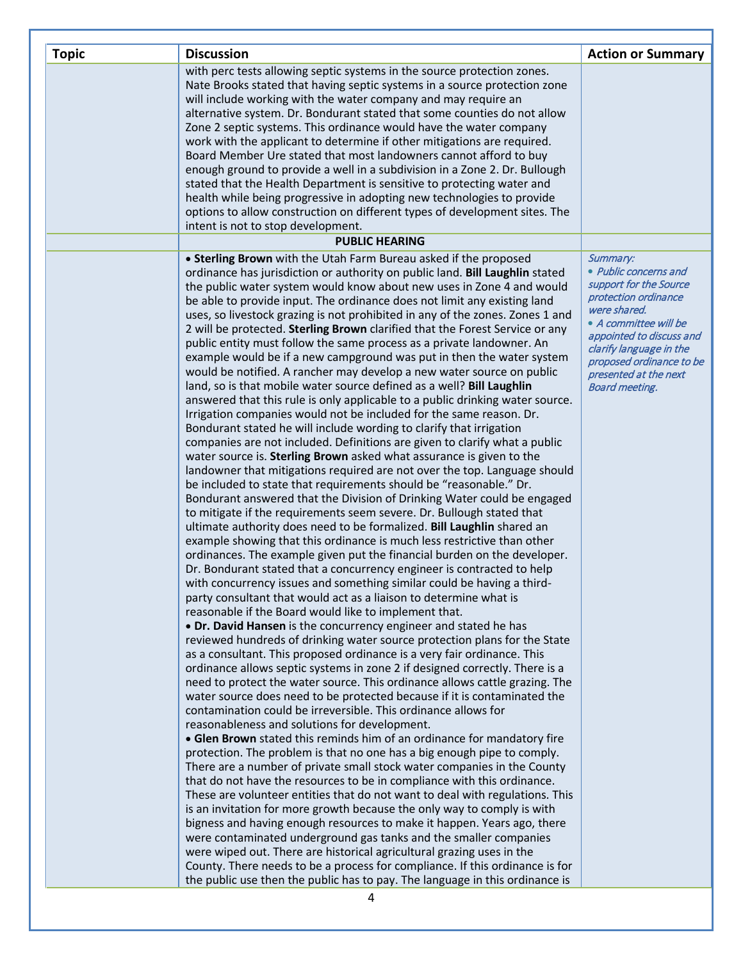| <b>Topic</b> | <b>Discussion</b>                                                                                                                                       | <b>Action or Summary</b>                          |
|--------------|---------------------------------------------------------------------------------------------------------------------------------------------------------|---------------------------------------------------|
|              | with perc tests allowing septic systems in the source protection zones.                                                                                 |                                                   |
|              | Nate Brooks stated that having septic systems in a source protection zone                                                                               |                                                   |
|              | will include working with the water company and may require an                                                                                          |                                                   |
|              | alternative system. Dr. Bondurant stated that some counties do not allow                                                                                |                                                   |
|              | Zone 2 septic systems. This ordinance would have the water company<br>work with the applicant to determine if other mitigations are required.           |                                                   |
|              | Board Member Ure stated that most landowners cannot afford to buy                                                                                       |                                                   |
|              | enough ground to provide a well in a subdivision in a Zone 2. Dr. Bullough                                                                              |                                                   |
|              | stated that the Health Department is sensitive to protecting water and                                                                                  |                                                   |
|              | health while being progressive in adopting new technologies to provide                                                                                  |                                                   |
|              | options to allow construction on different types of development sites. The                                                                              |                                                   |
|              | intent is not to stop development.                                                                                                                      |                                                   |
|              | <b>PUBLIC HEARING</b>                                                                                                                                   |                                                   |
|              | • Sterling Brown with the Utah Farm Bureau asked if the proposed                                                                                        | Summary:                                          |
|              | ordinance has jurisdiction or authority on public land. Bill Laughlin stated                                                                            | • Public concerns and                             |
|              | the public water system would know about new uses in Zone 4 and would                                                                                   | support for the Source<br>protection ordinance    |
|              | be able to provide input. The ordinance does not limit any existing land                                                                                | were shared.                                      |
|              | uses, so livestock grazing is not prohibited in any of the zones. Zones 1 and                                                                           | • A committee will be                             |
|              | 2 will be protected. Sterling Brown clarified that the Forest Service or any<br>public entity must follow the same process as a private landowner. An   | appointed to discuss and                          |
|              | example would be if a new campground was put in then the water system                                                                                   | clarify language in the                           |
|              | would be notified. A rancher may develop a new water source on public                                                                                   | proposed ordinance to be<br>presented at the next |
|              | land, so is that mobile water source defined as a well? Bill Laughlin                                                                                   | <b>Board meeting.</b>                             |
|              | answered that this rule is only applicable to a public drinking water source.                                                                           |                                                   |
|              | Irrigation companies would not be included for the same reason. Dr.                                                                                     |                                                   |
|              | Bondurant stated he will include wording to clarify that irrigation                                                                                     |                                                   |
|              | companies are not included. Definitions are given to clarify what a public                                                                              |                                                   |
|              | water source is. Sterling Brown asked what assurance is given to the                                                                                    |                                                   |
|              | landowner that mitigations required are not over the top. Language should                                                                               |                                                   |
|              | be included to state that requirements should be "reasonable." Dr.                                                                                      |                                                   |
|              | Bondurant answered that the Division of Drinking Water could be engaged<br>to mitigate if the requirements seem severe. Dr. Bullough stated that        |                                                   |
|              | ultimate authority does need to be formalized. Bill Laughlin shared an                                                                                  |                                                   |
|              | example showing that this ordinance is much less restrictive than other                                                                                 |                                                   |
|              | ordinances. The example given put the financial burden on the developer.                                                                                |                                                   |
|              | Dr. Bondurant stated that a concurrency engineer is contracted to help                                                                                  |                                                   |
|              | with concurrency issues and something similar could be having a third-                                                                                  |                                                   |
|              | party consultant that would act as a liaison to determine what is                                                                                       |                                                   |
|              | reasonable if the Board would like to implement that.                                                                                                   |                                                   |
|              | • Dr. David Hansen is the concurrency engineer and stated he has                                                                                        |                                                   |
|              | reviewed hundreds of drinking water source protection plans for the State                                                                               |                                                   |
|              | as a consultant. This proposed ordinance is a very fair ordinance. This                                                                                 |                                                   |
|              | ordinance allows septic systems in zone 2 if designed correctly. There is a                                                                             |                                                   |
|              | need to protect the water source. This ordinance allows cattle grazing. The<br>water source does need to be protected because if it is contaminated the |                                                   |
|              | contamination could be irreversible. This ordinance allows for                                                                                          |                                                   |
|              | reasonableness and solutions for development.                                                                                                           |                                                   |
|              | • Glen Brown stated this reminds him of an ordinance for mandatory fire                                                                                 |                                                   |
|              | protection. The problem is that no one has a big enough pipe to comply.                                                                                 |                                                   |
|              | There are a number of private small stock water companies in the County                                                                                 |                                                   |
|              | that do not have the resources to be in compliance with this ordinance.                                                                                 |                                                   |
|              | These are volunteer entities that do not want to deal with regulations. This                                                                            |                                                   |
|              | is an invitation for more growth because the only way to comply is with                                                                                 |                                                   |
|              | bigness and having enough resources to make it happen. Years ago, there                                                                                 |                                                   |
|              | were contaminated underground gas tanks and the smaller companies                                                                                       |                                                   |
|              | were wiped out. There are historical agricultural grazing uses in the                                                                                   |                                                   |
|              | County. There needs to be a process for compliance. If this ordinance is for                                                                            |                                                   |
|              | the public use then the public has to pay. The language in this ordinance is                                                                            |                                                   |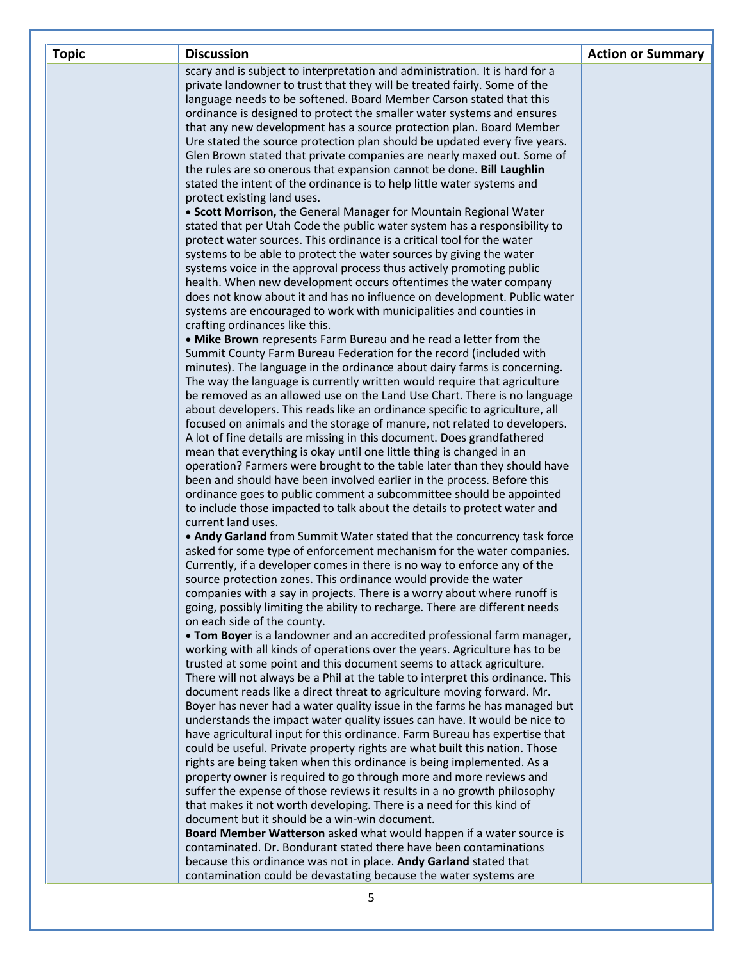| <b>Topic</b> | <b>Discussion</b>                                                                                                                              | <b>Action or Summary</b> |
|--------------|------------------------------------------------------------------------------------------------------------------------------------------------|--------------------------|
|              | scary and is subject to interpretation and administration. It is hard for a                                                                    |                          |
|              | private landowner to trust that they will be treated fairly. Some of the                                                                       |                          |
|              | language needs to be softened. Board Member Carson stated that this                                                                            |                          |
|              | ordinance is designed to protect the smaller water systems and ensures                                                                         |                          |
|              | that any new development has a source protection plan. Board Member                                                                            |                          |
|              | Ure stated the source protection plan should be updated every five years.                                                                      |                          |
|              | Glen Brown stated that private companies are nearly maxed out. Some of                                                                         |                          |
|              | the rules are so onerous that expansion cannot be done. Bill Laughlin                                                                          |                          |
|              | stated the intent of the ordinance is to help little water systems and                                                                         |                          |
|              | protect existing land uses.                                                                                                                    |                          |
|              | • Scott Morrison, the General Manager for Mountain Regional Water                                                                              |                          |
|              | stated that per Utah Code the public water system has a responsibility to                                                                      |                          |
|              | protect water sources. This ordinance is a critical tool for the water<br>systems to be able to protect the water sources by giving the water  |                          |
|              | systems voice in the approval process thus actively promoting public                                                                           |                          |
|              | health. When new development occurs oftentimes the water company                                                                               |                          |
|              | does not know about it and has no influence on development. Public water                                                                       |                          |
|              | systems are encouraged to work with municipalities and counties in                                                                             |                          |
|              | crafting ordinances like this.                                                                                                                 |                          |
|              | . Mike Brown represents Farm Bureau and he read a letter from the                                                                              |                          |
|              | Summit County Farm Bureau Federation for the record (included with                                                                             |                          |
|              | minutes). The language in the ordinance about dairy farms is concerning.                                                                       |                          |
|              | The way the language is currently written would require that agriculture                                                                       |                          |
|              | be removed as an allowed use on the Land Use Chart. There is no language                                                                       |                          |
|              | about developers. This reads like an ordinance specific to agriculture, all                                                                    |                          |
|              | focused on animals and the storage of manure, not related to developers.                                                                       |                          |
|              | A lot of fine details are missing in this document. Does grandfathered                                                                         |                          |
|              | mean that everything is okay until one little thing is changed in an                                                                           |                          |
|              | operation? Farmers were brought to the table later than they should have                                                                       |                          |
|              | been and should have been involved earlier in the process. Before this                                                                         |                          |
|              | ordinance goes to public comment a subcommittee should be appointed                                                                            |                          |
|              | to include those impacted to talk about the details to protect water and                                                                       |                          |
|              | current land uses.                                                                                                                             |                          |
|              | . Andy Garland from Summit Water stated that the concurrency task force                                                                        |                          |
|              | asked for some type of enforcement mechanism for the water companies.                                                                          |                          |
|              | Currently, if a developer comes in there is no way to enforce any of the                                                                       |                          |
|              | source protection zones. This ordinance would provide the water                                                                                |                          |
|              | companies with a say in projects. There is a worry about where runoff is                                                                       |                          |
|              | going, possibly limiting the ability to recharge. There are different needs                                                                    |                          |
|              | on each side of the county.                                                                                                                    |                          |
|              | . Tom Boyer is a landowner and an accredited professional farm manager,                                                                        |                          |
|              | working with all kinds of operations over the years. Agriculture has to be                                                                     |                          |
|              | trusted at some point and this document seems to attack agriculture.                                                                           |                          |
|              | There will not always be a Phil at the table to interpret this ordinance. This                                                                 |                          |
|              | document reads like a direct threat to agriculture moving forward. Mr.                                                                         |                          |
|              | Boyer has never had a water quality issue in the farms he has managed but                                                                      |                          |
|              | understands the impact water quality issues can have. It would be nice to                                                                      |                          |
|              | have agricultural input for this ordinance. Farm Bureau has expertise that                                                                     |                          |
|              | could be useful. Private property rights are what built this nation. Those                                                                     |                          |
|              | rights are being taken when this ordinance is being implemented. As a                                                                          |                          |
|              | property owner is required to go through more and more reviews and<br>suffer the expense of those reviews it results in a no growth philosophy |                          |
|              | that makes it not worth developing. There is a need for this kind of                                                                           |                          |
|              | document but it should be a win-win document.                                                                                                  |                          |
|              | Board Member Watterson asked what would happen if a water source is                                                                            |                          |
|              | contaminated. Dr. Bondurant stated there have been contaminations                                                                              |                          |
|              | because this ordinance was not in place. Andy Garland stated that                                                                              |                          |
|              | contamination could be devastating because the water systems are                                                                               |                          |
|              |                                                                                                                                                |                          |
|              | 5                                                                                                                                              |                          |